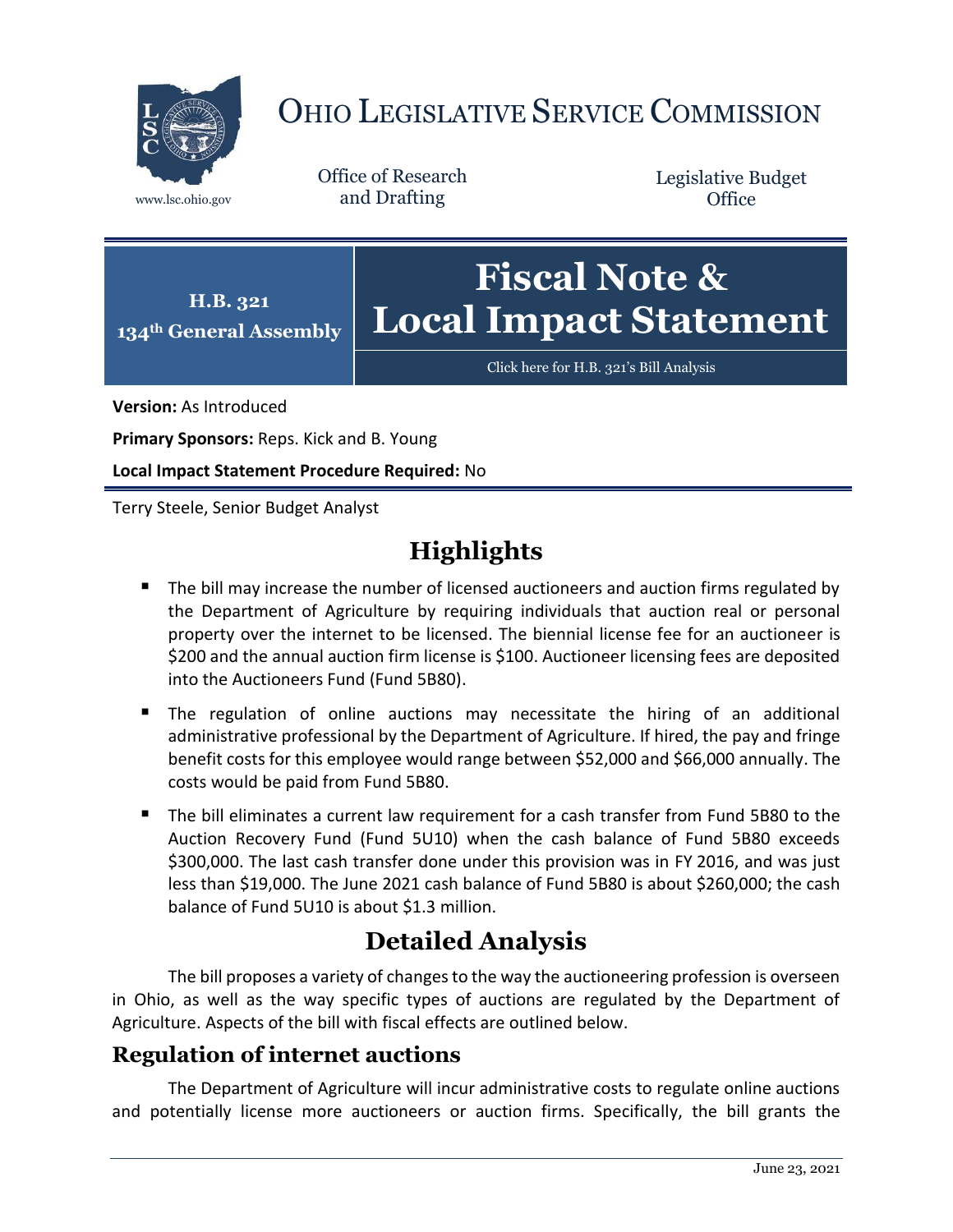

# OHIO LEGISLATIVE SERVICE COMMISSION

Office of Research www.lsc.ohio.gov and Drafting

Legislative Budget **Office** 



[Click here for H.B. 321](https://www.legislature.ohio.gov/legislation/legislation-documents?id=GA134-HB-321)'s Bill Analysis

**Version:** As Introduced

**Primary Sponsors:** Reps. Kick and B. Young

**Local Impact Statement Procedure Required:** No

Terry Steele, Senior Budget Analyst

## **Highlights**

- The bill may increase the number of licensed auctioneers and auction firms regulated by the Department of Agriculture by requiring individuals that auction real or personal property over the internet to be licensed. The biennial license fee for an auctioneer is \$200 and the annual auction firm license is \$100. Auctioneer licensing fees are deposited into the Auctioneers Fund (Fund 5B80).
- **The regulation of online auctions may necessitate the hiring of an additional** administrative professional by the Department of Agriculture. If hired, the pay and fringe benefit costs for this employee would range between \$52,000 and \$66,000 annually. The costs would be paid from Fund 5B80.
- The bill eliminates a current law requirement for a cash transfer from Fund 5B80 to the Auction Recovery Fund (Fund 5U10) when the cash balance of Fund 5B80 exceeds \$300,000. The last cash transfer done under this provision was in FY 2016, and was just less than \$19,000. The June 2021 cash balance of Fund 5B80 is about \$260,000; the cash balance of Fund 5U10 is about \$1.3 million.

### **Detailed Analysis**

The bill proposes a variety of changes to the way the auctioneering profession is overseen in Ohio, as well as the way specific types of auctions are regulated by the Department of Agriculture. Aspects of the bill with fiscal effects are outlined below.

#### **Regulation of internet auctions**

The Department of Agriculture will incur administrative costs to regulate online auctions and potentially license more auctioneers or auction firms. Specifically, the bill grants the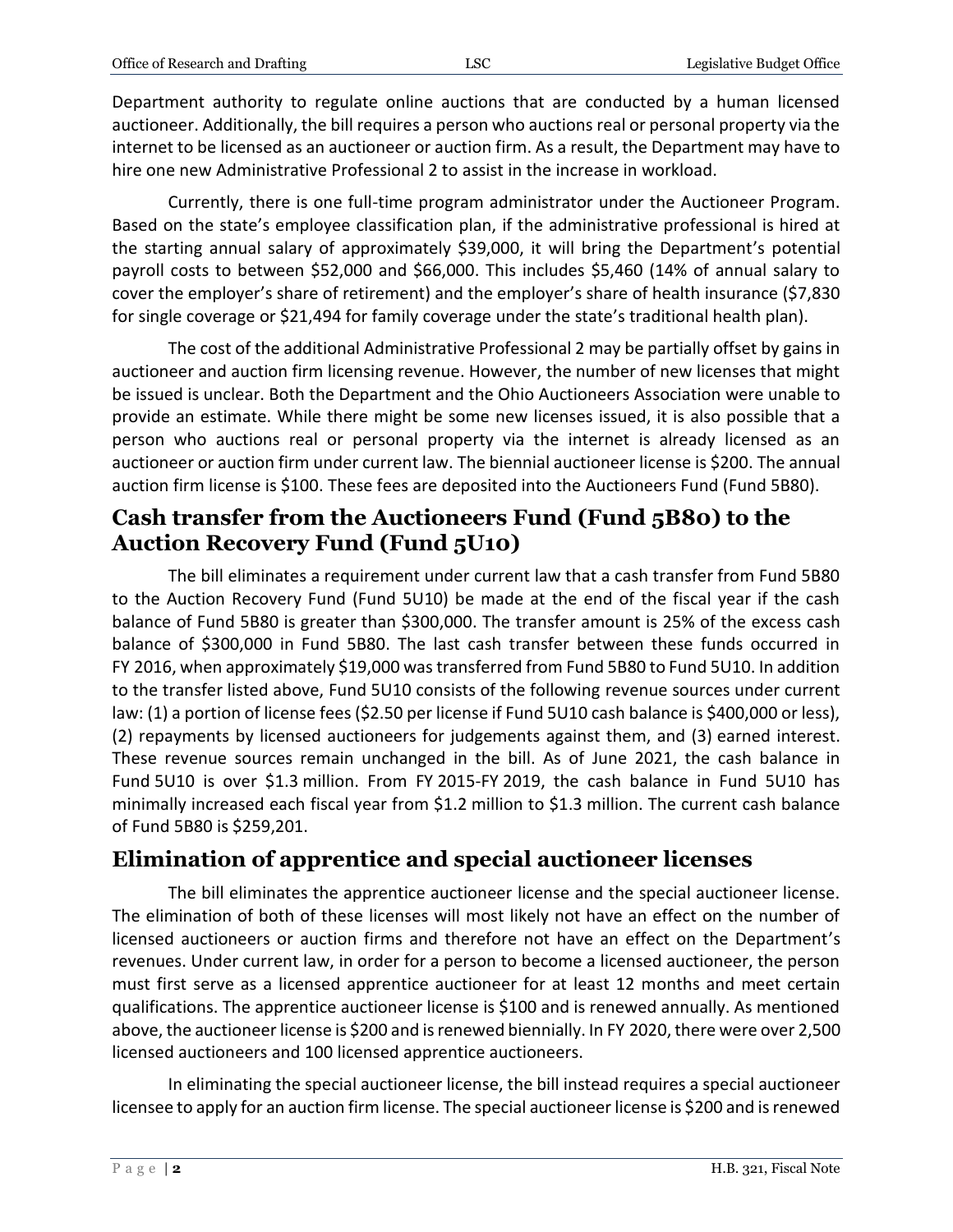Department authority to regulate online auctions that are conducted by a human licensed auctioneer. Additionally, the bill requires a person who auctions real or personal property via the internet to be licensed as an auctioneer or auction firm. As a result, the Department may have to hire one new Administrative Professional 2 to assist in the increase in workload.

Currently, there is one full-time program administrator under the Auctioneer Program. Based on the state's employee classification plan, if the administrative professional is hired at the starting annual salary of approximately \$39,000, it will bring the Department's potential payroll costs to between \$52,000 and \$66,000. This includes \$5,460 (14% of annual salary to cover the employer's share of retirement) and the employer's share of health insurance (\$7,830 for single coverage or \$21,494 for family coverage under the state's traditional health plan).

The cost of the additional Administrative Professional 2 may be partially offset by gains in auctioneer and auction firm licensing revenue. However, the number of new licenses that might be issued is unclear. Both the Department and the Ohio Auctioneers Association were unable to provide an estimate. While there might be some new licenses issued, it is also possible that a person who auctions real or personal property via the internet is already licensed as an auctioneer or auction firm under current law. The biennial auctioneer license is \$200. The annual auction firm license is \$100. These fees are deposited into the Auctioneers Fund (Fund 5B80).

#### **Cash transfer from the Auctioneers Fund (Fund 5B80) to the Auction Recovery Fund (Fund 5U10)**

The bill eliminates a requirement under current law that a cash transfer from Fund 5B80 to the Auction Recovery Fund (Fund 5U10) be made at the end of the fiscal year if the cash balance of Fund 5B80 is greater than \$300,000. The transfer amount is 25% of the excess cash balance of \$300,000 in Fund 5B80. The last cash transfer between these funds occurred in FY 2016, when approximately \$19,000 was transferred from Fund 5B80 to Fund 5U10. In addition to the transfer listed above, Fund 5U10 consists of the following revenue sources under current law: (1) a portion of license fees (\$2.50 per license if Fund 5U10 cash balance is \$400,000 or less), (2) repayments by licensed auctioneers for judgements against them, and (3) earned interest. These revenue sources remain unchanged in the bill. As of June 2021, the cash balance in Fund 5U10 is over \$1.3 million. From FY 2015-FY 2019, the cash balance in Fund 5U10 has minimally increased each fiscal year from \$1.2 million to \$1.3 million. The current cash balance of Fund 5B80 is \$259,201.

#### **Elimination of apprentice and special auctioneer licenses**

The bill eliminates the apprentice auctioneer license and the special auctioneer license. The elimination of both of these licenses will most likely not have an effect on the number of licensed auctioneers or auction firms and therefore not have an effect on the Department's revenues. Under current law, in order for a person to become a licensed auctioneer, the person must first serve as a licensed apprentice auctioneer for at least 12 months and meet certain qualifications. The apprentice auctioneer license is \$100 and is renewed annually. As mentioned above, the auctioneer license is \$200 and is renewed biennially. In FY 2020, there were over 2,500 licensed auctioneers and 100 licensed apprentice auctioneers.

In eliminating the special auctioneer license, the bill instead requires a special auctioneer licensee to apply for an auction firm license. The special auctioneer license is \$200 and is renewed